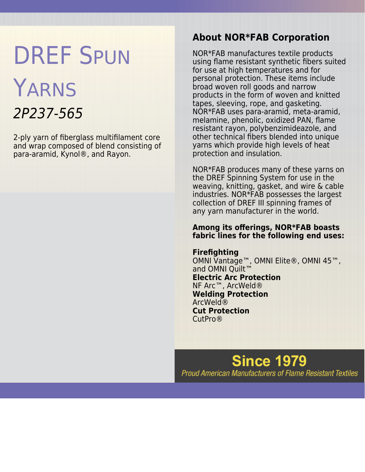# DREF SPUN

## YARNS 2P237-565

2-ply yarn of fiberglass multifilament core and wrap composed of blend consisting of para-aramid, Kynol®, and Rayon.

#### **About NOR\*FAB Corporation**

NOR\*FAB manufactures textile products using flame resistant synthetic fibers suited for use at high temperatures and for personal protection. These items include broad woven roll goods and narrow products in the form of woven and knitted tapes, sleeving, rope, and gasketing. NOR\*FAB uses para-aramid, meta-aramid, melamine, phenolic, oxidized PAN, flame resistant rayon, polybenzimideazole, and other technical fibers blended into unique yarns which provide high levels of heat protection and insulation.

NOR\*FAB produces many of these yarns on the DREF Spinning System for use in the weaving, knitting, gasket, and wire & cable industries. NOR\*FAB possesses the largest collection of DREF III spinning frames of any yarn manufacturer in the world.

#### **Among its offerings, NOR\*FAB boasts fabric lines for the following end uses:**

#### **Firefighting**

OMNI Vantage™, OMNI Elite®, OMNI 45™, and OMNI Ouilt™ **Electric Arc Protection** NF Arc™, ArcWeld® **Welding Protection** ArcWeld® **Cut Protection** CutPro®

**Since 1979 Proud American Manufacturers of Flame Resistant Textiles**